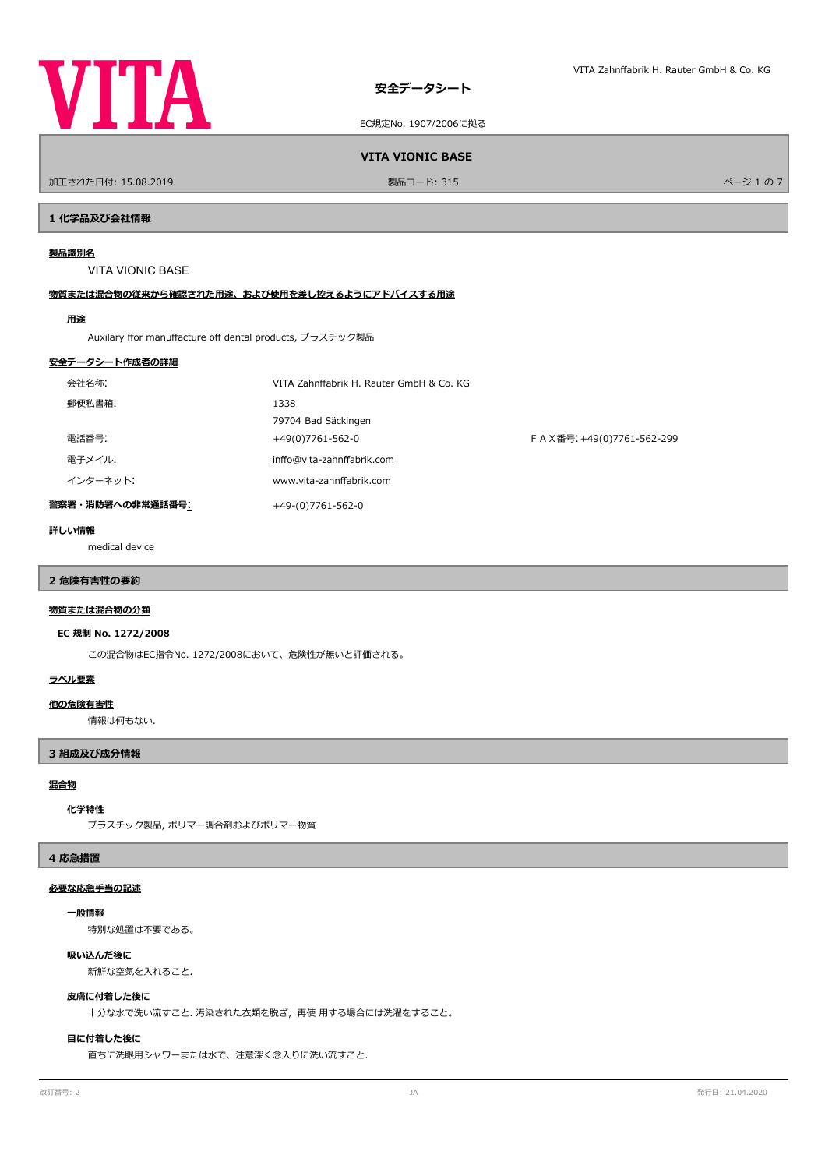

EC規定No. 1907/2006に拠る

#### **VITA VIONIC BASE**

ールエされた日付: 15.08.2019 しかい こうしょう おおとこ かんきょう かんきょう 製品コード: 315 しかい こうしょう アイ・エンジェクト アイ・エンジェクト しゅうしょう アイ・エンジェクト しゅうしゅ

#### **1 化学品及び会社情報**

#### **製品識別名**

VITA VIONIC BASE

#### **物質または混合物の従来から確認された用途、および使用を差し控えるようにアドバイスする用途**

#### **用途**

Auxilary ffor manuffacture off dental products, プラスチック製品

#### **安全データシート作成者の詳細**

| 会社名称:            | VITA Zahnffabrik H. Rauter GmbH & Co. KG |                           |
|------------------|------------------------------------------|---------------------------|
| 郵便私書箱:           | 1338                                     |                           |
|                  | 79704 Bad Säckingen                      |                           |
| 電話番号:            | +49(0)7761-562-0                         | FAX番号: +49(0)7761-562-299 |
| 電子メイル:           | inffo@vita-zahnffabrik.com               |                           |
| インターネット:         | www.vita-zahnffabrik.com                 |                           |
| 警察署・消防署への非常通話番号: | +49-(0)7761-562-0                        |                           |

#### **詳しい情報**

medical device

# **2 危険有害性の要約**

# **物質または混合物の分類**

#### **EC 規制 No. 1272/2008**

この混合物はEC指令No. 1272/2008において、危険性が無いと評価される。

#### **ラベル要素**

#### **他の危険有害性**

情報は何もない.

#### **3 組成及び成分情報**

#### **混合物**

#### **化学特性**

プラスチック製品, ポリマー調合剤およびポリマー物質

#### **4 応急措置**

#### **必要な応急手当の記述**

#### **一般情報**

特別な処置は不要である。

#### **吸い込んだ後に**

新鮮な空気を入れること.

#### **皮膚に付着した後に**

十分な水で洗い流すこと. 汚染された衣類を脱ぎ,再使 用する場合には洗濯をすること。

#### **目に付着した後に**

直ちに洗眼用シャワーまたは水で、注意深く念入りに洗い流すこと.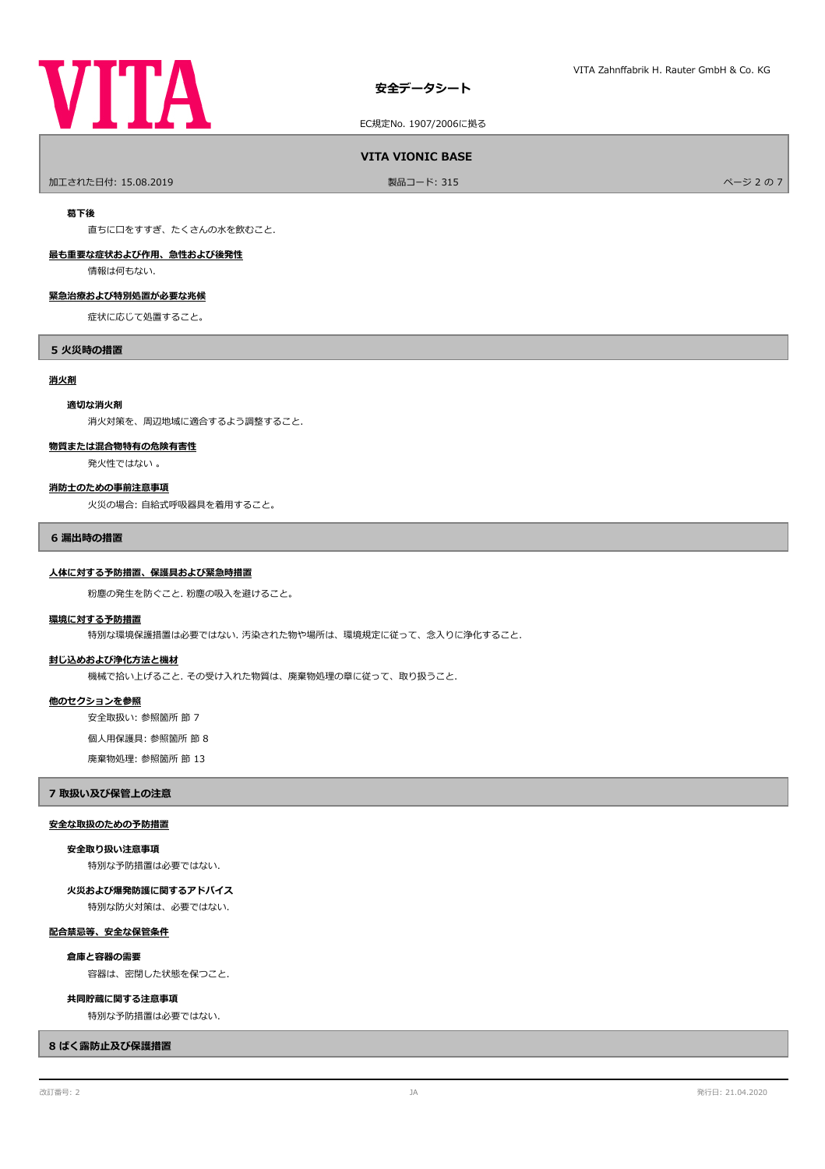# **VITA**

EC規定No. 1907/2006に拠る

#### **VITA VIONIC BASE**

ールエされた日付: 15.08.2019 しかい こうしょう おおとこ かんきょう かんきょう 製品コード: 315 しかい こうしょう アイ・エンジェクト アイ・シュ の 7 しかい スページ 2 の 7

#### **葛下後**

直ちに口をすすぎ、たくさんの水を飲むこと.

# **最も重要な症状および作用、急性および後発性**

情報は何もない.

#### **緊急治療および特別処置が必要な兆候**

症状に応じて処置すること。

#### **5 火災時の措置**

#### **消火剤**

#### **適切な消火剤**

消火対策を、周辺地域に適合するよう調整すること.

#### **物質または混合物特有の危険有害性**

発火性ではない 。

#### **消防士のための事前注意事項**

火災の場合: 自給式呼吸器具を着用すること。

#### **6 漏出時の措置**

#### **人体に対する予防措置、保護具および緊急時措置**

粉塵の発生を防ぐこと. 粉塵の吸入を避けること。

#### **環境に対する予防措置**

特別な環境保護措置は必要ではない. 汚染された物や場所は、環境規定に従って、念入りに浄化すること.

#### **封じ込めおよび浄化方法と機材**

機械で拾い上げること. その受け入れた物質は、廃棄物処理の章に従って、取り扱うこと.

#### **他のセクションを参照**

安全取扱い: 参照箇所 節 7

個人用保護具: 参照箇所 節 8

廃棄物処理: 参照箇所 節 13

#### **7 取扱い及び保管上の注意**

#### **安全な取扱のための予防措置**

#### **安全取り扱い注意事項**

特別な予防措置は必要ではない.

特別な防火対策は、必要ではない. **火災および爆発防護に関するアドバイス**

#### **配合禁忌等、安全な保管条件**

**倉庫と容器の需要**

容器は、密閉した状態を保つこと.

#### **共同貯蔵に関する注意事項**

特別な予防措置は必要ではない.

#### **8 ばく露防止及び保護措置**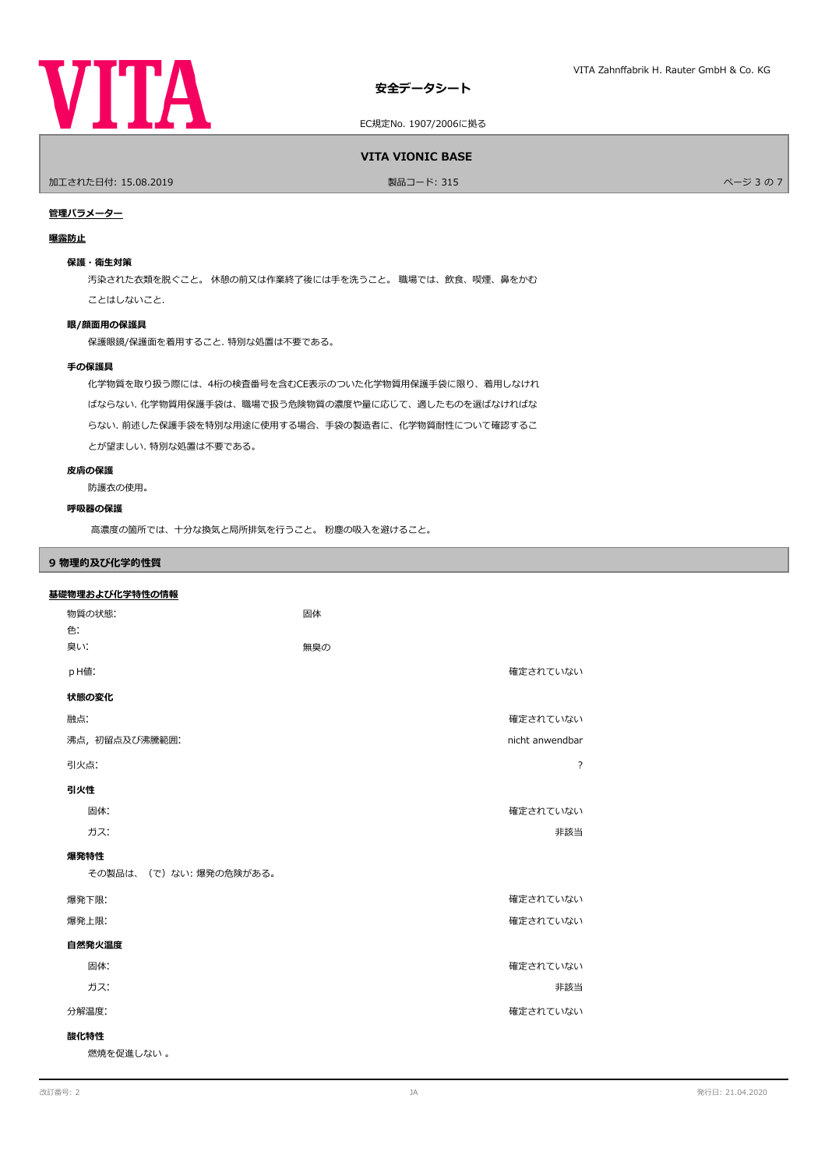

EC規定No. 1907/2006に拠る

**VITA VIONIC BASE**

ールエされた日付: 15.08.2019 しかい インタン アンディアン かんこう かんこう 製品コード: 315 しかい アンディアン アンディアン アンディアン パージ 3 の 7 しかい パージ 3 の 7

# **管理パラメーター**

#### **曝露防止**

#### **保護・衛生対策**

汚染された衣類を脱ぐこと。 休憩の前又は作業終了後には手を洗うこと。 職場では、飲食、喫煙、鼻をかむ

ことはしないこと.

#### **眼/顔面用の保護具**

保護眼鏡/保護面を着用すること. 特別な処置は不要である。

#### **手の保護具**

化学物質を取り扱う際には、4桁の検査番号を含むCE表示のついた化学物質用保護手袋に限り、着用しなけれ ばならない. 化学物質用保護手袋は、職場で扱う危険物質の濃度や量に応じて、適したものを選ばなければな らない. 前述した保護手袋を特別な用途に使用する場合、手袋の製造者に、化学物質耐性について確認するこ とが望ましい. 特別な処置は不要である。

#### **皮膚の保護**

防護衣の使用。

#### **呼吸器の保護**

高濃度の箇所では、十分な換気と局所排気を行うこと。 粉塵の吸入を避けること。

### **9 物理的及び化学的性質**

| 基礎物理および化学特性の情報        |                 |  |  |  |
|-----------------------|-----------------|--|--|--|
| 物質の状態:                | 固体              |  |  |  |
| 色:                    |                 |  |  |  |
| 臭い:                   | 無臭の             |  |  |  |
| pH値:                  | 確定されていない        |  |  |  |
| 状態の変化                 |                 |  |  |  |
| 融点:                   | 確定されていない        |  |  |  |
| 沸点, 初留点及び沸騰範囲:        | nicht anwendbar |  |  |  |
| 引火点:                  | $\overline{?}$  |  |  |  |
| 引火性                   |                 |  |  |  |
| 固体:                   | 確定されていない        |  |  |  |
| ガス:                   | 非該当             |  |  |  |
| 爆発特性                  |                 |  |  |  |
| その製品は、(で)ない:爆発の危険がある。 |                 |  |  |  |
| 爆発下限:                 | 確定されていない        |  |  |  |
| 爆発上限:                 | 確定されていない        |  |  |  |
| 自然発火温度                |                 |  |  |  |
| 固体:                   | 確定されていない        |  |  |  |
| ガス:                   | 非該当             |  |  |  |
| 分解温度:                 | 確定されていない        |  |  |  |
| 酸化特性                  |                 |  |  |  |
| 燃焼を促進しない。             |                 |  |  |  |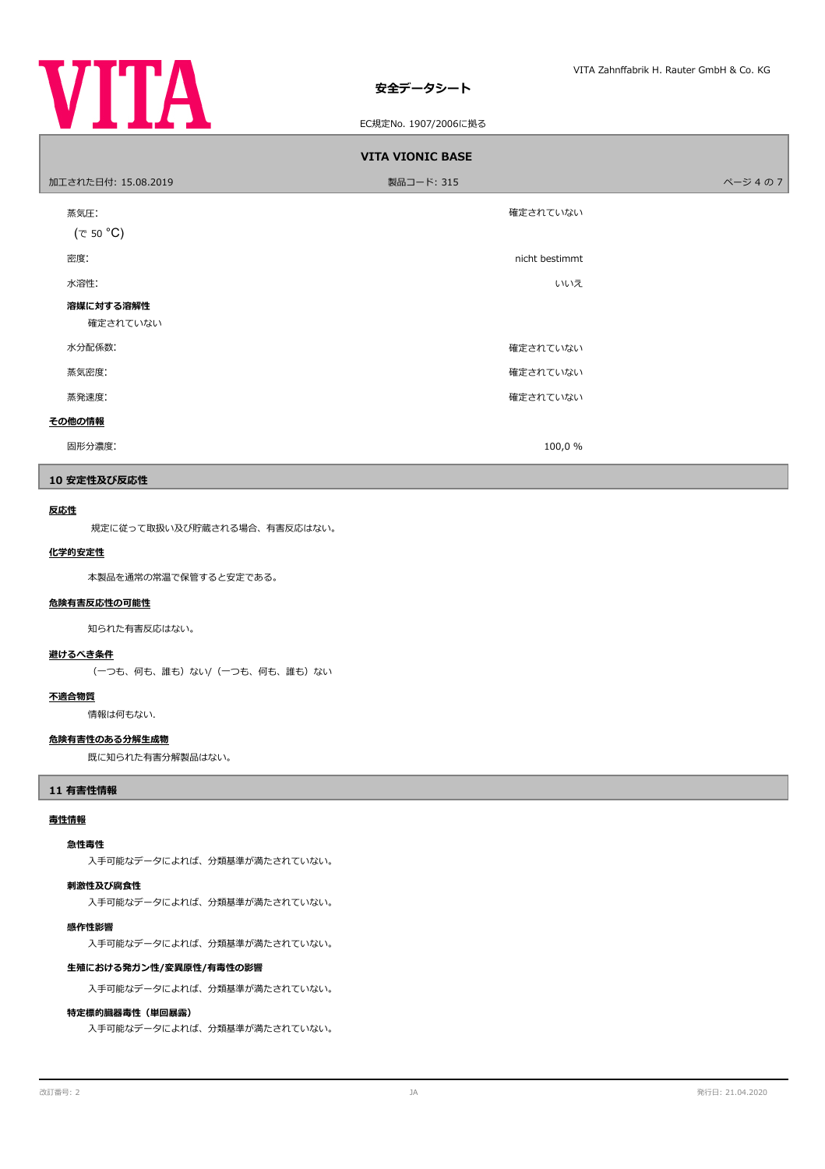

EC規定No. 1907/2006に拠る

| <b>VITA VIONIC BASE</b> |                |        |  |  |  |  |
|-------------------------|----------------|--------|--|--|--|--|
| 加工された日付: 15.08.2019     | 製品コード: 315     | ページ4の7 |  |  |  |  |
| 蒸気圧:<br>(で 50 °C)       | 確定されていない       |        |  |  |  |  |
| 密度:                     | nicht bestimmt |        |  |  |  |  |
| 水溶性:                    | いいえ            |        |  |  |  |  |
| 溶媒に対する溶解性<br>確定されていない   |                |        |  |  |  |  |
| 水分配係数:                  | 確定されていない       |        |  |  |  |  |
| 蒸気密度:                   | 確定されていない       |        |  |  |  |  |
| 蒸発速度:                   | 確定されていない       |        |  |  |  |  |
| その他の情報                  |                |        |  |  |  |  |
| 固形分濃度:                  | 100,0 %        |        |  |  |  |  |

#### **10 安定性及び反応性**

#### **反応性**

規定に従って取扱い及び貯蔵される場合、有害反応はない。

### **化学的安定性**

本製品を通常の常温で保管すると安定である。

#### **危険有害反応性の可能性**

知られた有害反応はない。

#### **避けるべき条件**

(一つも、何も、誰も)ない/(一つも、何も、誰も)ない

#### **不適合物質**

情報は何もない.

#### **危険有害性のある分解生成物**

既に知られた有害分解製品はない。

#### **11 有害性情報**

#### **毒性情報**

#### **急性毒性**

入手可能なデータによれば、分類基準が満たされていない。

#### **刺激性及び腐食性**

入手可能なデータによれば、分類基準が満たされていない。

#### **感作性影響**

入手可能なデータによれば、分類基準が満たされていない。

# **生殖における発ガン性/変異原性/有毒性の影響**

入手可能なデータによれば、分類基準が満たされていない。

#### **特定標的臓器毒性(単回暴露)**

入手可能なデータによれば、分類基準が満たされていない。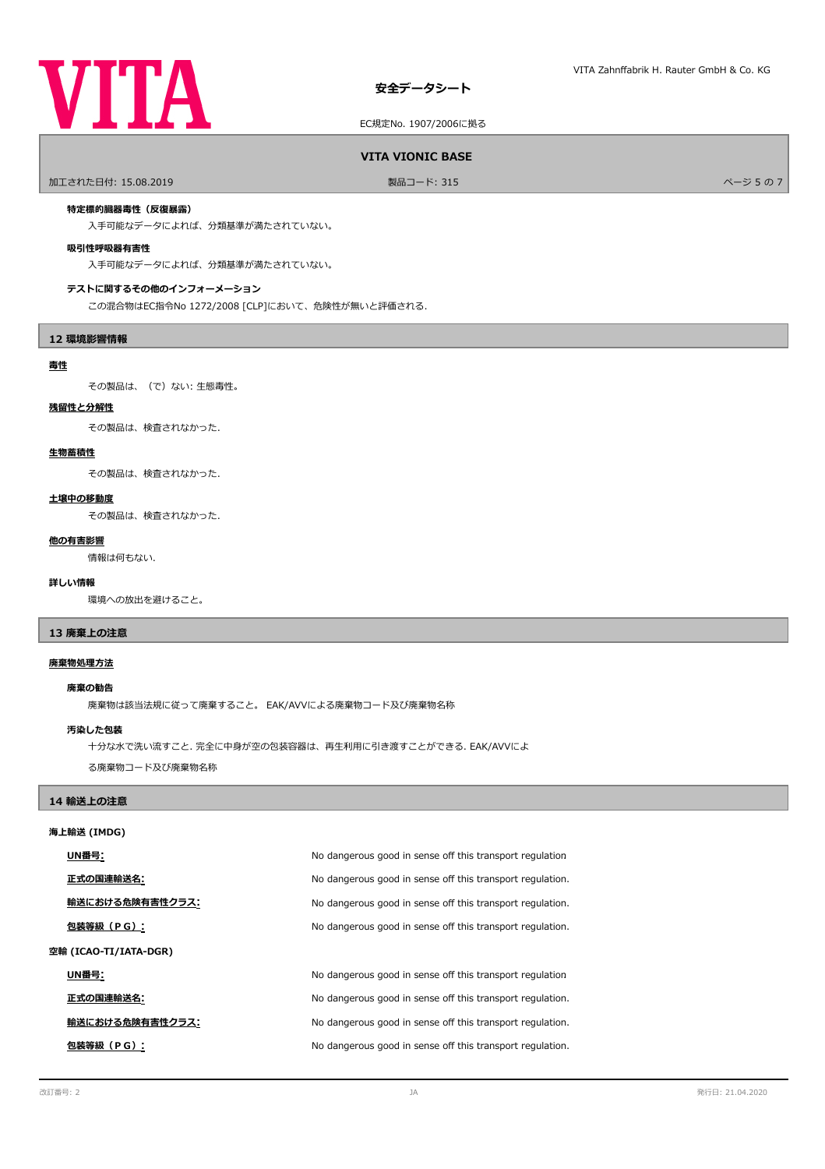# **VITA**

# **安全データシート**

EC規定No. 1907/2006に拠る

#### **VITA VIONIC BASE**

ールエされた日付: 15.08.2019 しかい こうしょう おおとこ かんきょう かんきょう 製品コード: 315 しかい こうしょう アイエンジェクト しゅうしょう ページ 5 の 7

#### **特定標的臓器毒性(反復暴露)**

入手可能なデータによれば、分類基準が満たされていない。

#### **吸引性呼吸器有害性**

入手可能なデータによれば、分類基準が満たされていない。

#### **テストに関するその他のインフォーメーション**

この混合物はEC指令No 1272/2008 [CLP]において、危険性が無いと評価される.

#### **12 環境影響情報**

#### **毒性**

その製品は、(で)ない: 生態毒性。

# **残留性と分解性**

その製品は、検査されなかった.

#### **生物蓄積性**

その製品は、検査されなかった.

#### **土壌中の移動度**

その製品は、検査されなかった.

#### **他の有害影響**

情報は何もない.

#### **詳しい情報**

環境への放出を避けること。

#### **13 廃棄上の注意**

#### **廃棄物処理方法**

#### **廃棄の勧告**

廃棄物は該当法規に従って廃棄すること。 EAK/AVVによる廃棄物コード及び廃棄物名称

#### **汚染した包装**

十分な水で洗い流すこと. 完全に中身が空の包装容器は、再生利用に引き渡すことができる. EAK/AVVによ

る廃棄物コード及び廃棄物名称

#### **14 輸送上の注意**

| 海上輸送 (IMDG)           |                                                           |  |  |  |
|-----------------------|-----------------------------------------------------------|--|--|--|
| UN番号:                 | No dangerous good in sense off this transport regulation  |  |  |  |
| 正式の国連輸送名:             | No dangerous good in sense off this transport regulation. |  |  |  |
| 輸送における危険有害性クラス:       | No dangerous good in sense off this transport regulation. |  |  |  |
| 包装等級(PG):             | No dangerous good in sense off this transport regulation. |  |  |  |
| 空輸 (ICAO-TI/IATA-DGR) |                                                           |  |  |  |
| UN番号:                 | No dangerous good in sense off this transport regulation  |  |  |  |
| 正式の国連輸送名:             | No dangerous good in sense off this transport regulation. |  |  |  |
| 輸送における危険有害性クラス:       | No dangerous good in sense off this transport regulation. |  |  |  |
| 包装等級(PG):             | No dangerous good in sense off this transport regulation. |  |  |  |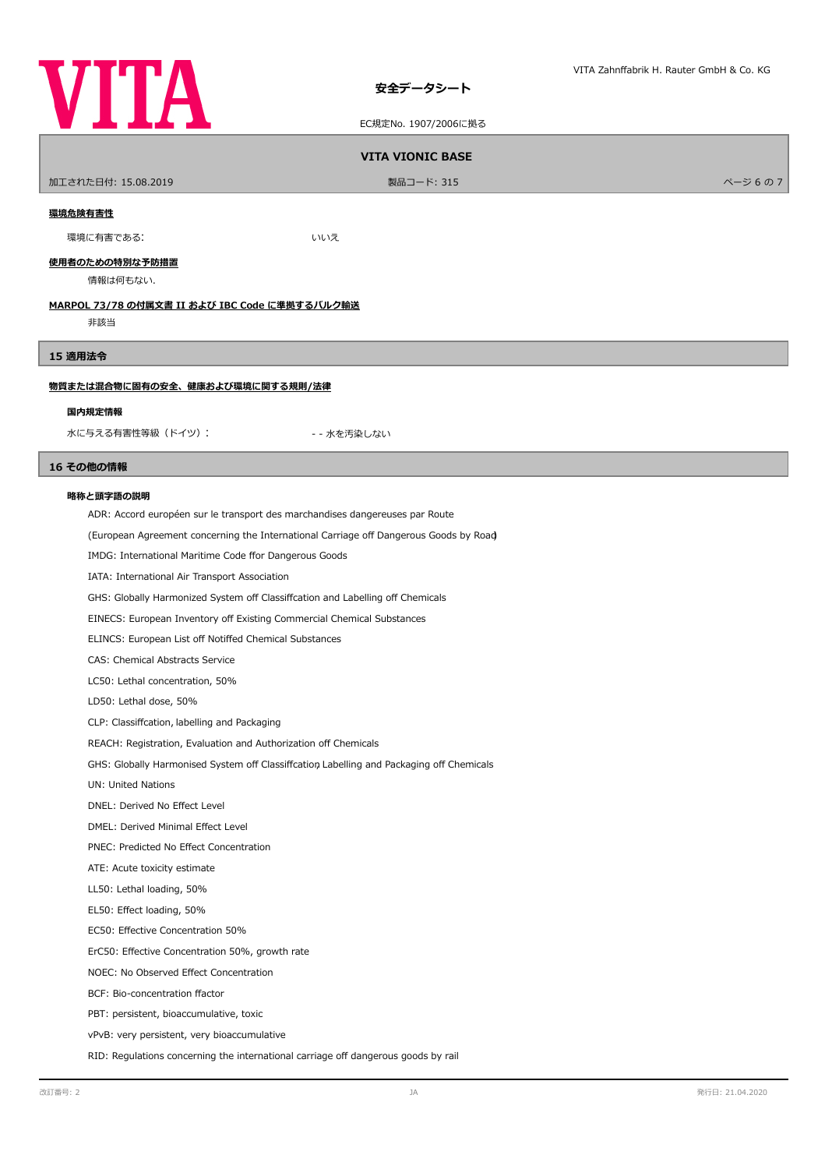

EC規定No. 1907/2006に拠る

# **VITA VIONIC BASE**

ールエされた日付: 15.08.2019 しかい こうしょう おおとこ かんきょう かんきょう 製品コード: 315 しかい こうしょう アイ・エンジェクト アイ・ジ 6 の 7 の 7

#### **環境危険有害性**

環境に有害である: いいえ

#### **使用者のための特別な予防措置**

情報は何もない.

#### **MARPOL 73/78 の付属文書 II および IBC Code に準拠するバルク輸送**

非該当

# **15 適用法令**

#### **物質または混合物に固有の安全、健康および環境に関する規則/法律**

#### **国内規定情報**

水に与える有害性等級 (ドイツ): キャング キャン・キャン - 水を汚染しない

#### **16 その他の情報**

#### **略称と頭字語の説明**

ADR: Accord européen sur le transport des marchandises dangereuses par Route

(European Agreement concerning the International Carriage of Dangerous Goods by Road)

IMDG: International Maritime Code ffor Dangerous Goods

IATA: International Air Transport Association

GHS: Globally Harmonized System off Classiffcation and Labelling off Chemicals

EINECS: European Inventory of Existing Commercial Chemical Substances

ELINCS: European List off Notiffed Chemical Substances

CAS: Chemical Abstracts Service

LC50: Lethal concentration, 50%

LD50: Lethal dose, 50%

CLP: Classifcation, labelling and Packaging

REACH: Registration, Evaluation and Authorization off Chemicals

GHS: Globally Harmonised System off Classiffcation Labelling and Packaging off Chemicals

UN: United Nations

DNEL: Derived No Efect Level

DMEL: Derived Minimal Efect Level

PNEC: Predicted No Efect Concentration

ATE: Acute toxicity estimate

LL50: Lethal loading, 50%

EL50: Efect loading, 50%

EC50: Efective Concentration 50%

ErC50: Efective Concentration 50%, growth rate

NOEC: No Observed Efect Concentration

BCF: Bio-concentration factor

PBT: persistent, bioaccumulative, toxic

vPvB: very persistent, very bioaccumulative

RID: Regulations concerning the international carriage off dangerous goods by rail